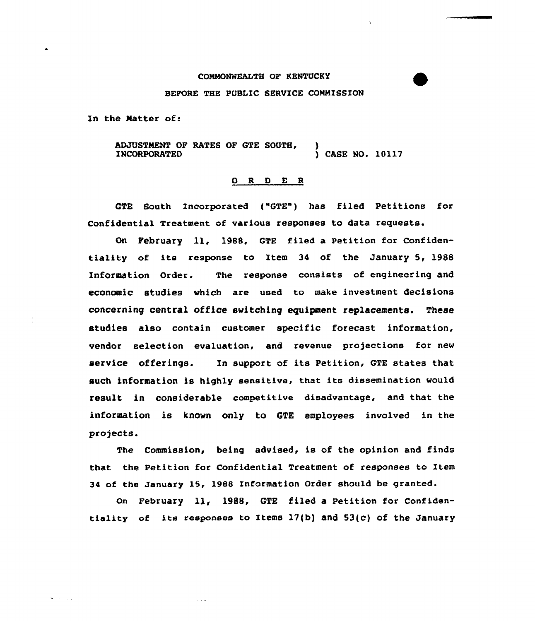## COMMONWEALTH OF KENTUCKY

## BEFORE THE PUBLIC SERVICE COMMISSION

In the Natter of:

**Collection** 

ADJUSTMENT OF RATES OF GTE SOUTH, INCORPORATED ) ) CASE NO. 10117

## 0 <sup>R</sup> 0 E <sup>R</sup>

GTE South Incorporated ("GTE") has filed Petitions for Confidential Treatment of various responses to data requests.

On February ll, 1988, GTE filed <sup>a</sup> Petition for Confidentiality of its response to Item <sup>34</sup> of the January 5, 1988 Information Order. The response consists of engineering and economic studies which are used to make investment decisions concerning central office switching equipment replacements. These studies also contain customer specific forecast information, vendor selection evaluation, and revenue projections for new service offerings. In support of its Petition, GTE states that such information is highly sensitive, that its dissemination would result in considerable competitive disadvantage, and that the information is known only to GTE employees involved in the projects.

The Commission, being advised, is of the opinion and finds that the Petition for Confidential Treatment of responses to Item 34 of the January 15, 19BB Information Order should be granted.

On February 11, 1988, GTE filed a Petition for Confidentiality of its responses to Items  $17(b)$  and  $53(c)$  of the January

الأنواء والمواردة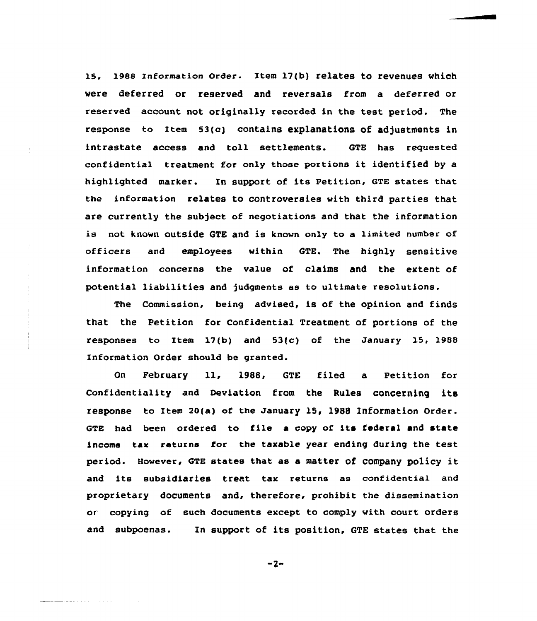15. 19es Information order. Item 17(b) relates to revenues which were deferred or reserved and reversals from a deferred or reserved account not originally recorded in the test period. The response to Item  $53(c)$  contains explanations of adjustments in intrastate access and toll settlements. GTE has requested confidential treatment for only those portions it identified by <sup>a</sup> highlighted marker. In support of its Petition, GTE states that the information relates to controversies with third parties that are currently the subject of negotiations and that the information is not known outside GTE and is known only to a limited number of officers and employees within GTE. The highly sensitive information concerns the value of claims and the extent of potential liabilities and judgments as to ultimate resolutions.

The Commission, being advised, is of the opinion and finds that the Petition for Confidential Treatment of portions of the responses to Item 17(b) and 53(c) of the January l5, 1988 Information Order should be granted.

On February ll, 1988, GTE filed <sup>a</sup> Petition for Confidentiality and Deviation from the Rules concerning its response to Item 20(a) of the January 15, 1988 Information Order. GTE had been ordered to file <sup>a</sup> copy of its federal and state income tax returns for the taxable year ending during the test period. However, GTE states that as <sup>a</sup> matter of company policy it and its subsidiaries treat tax returns as confidential and proprietary documents and, therefore, prohibit the dissemination or copying of such documents except to comply with court orders and subpoenas. In support of its position, GTE states that the

 $-2-$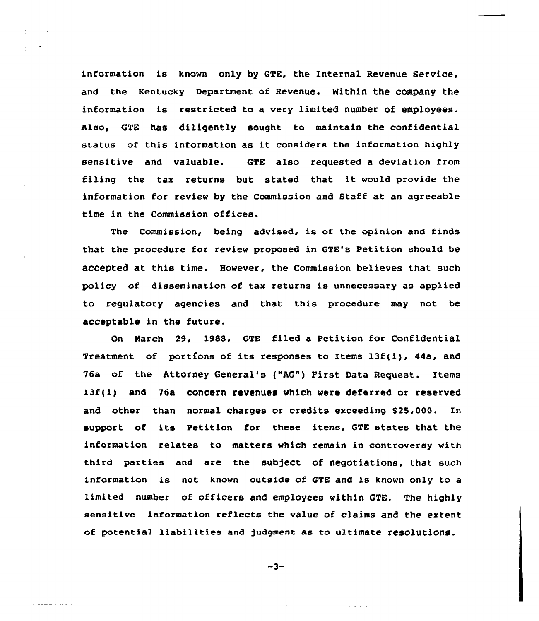information is known only by GTE, the Internal Revenue Service, and the Kentucky Department of Revenue. Within the company the information is restricted to a very limited number of employees. Also, GTE has diligently sought to maintain the confidential status of this information as it considers the information highly sensitive and valuable. GTE also requested a deviation from filing the tax returns but stated that it would provide the information for review by the Commission and Staff at an agreeable time in the Commission offices.

The Commission, being advised, is of the opinion and finds that the procedure for review proposed in GTE's Petition should be accepted at this time. However, the Commission believes that such policy of dissemination of tax returns is unnecessary as applied to regulatory agencies and that this procedure may not be acceptable in the future.

On March 29, 198S, GTE filed a Petition for Confidential Treatment of portions of its responses to Items 13f(i), 44a, and 76a of the Attorney General's ("AG") First Data Request. Items 13f(i) and 76a concern revenues which were deferred or reserved and other than normal charges or credits exceeding \$25,000. In support of its Petition for these items, GTE states that the information relates to matters which remain in controversy with third parties and are the subject of negotiations, that such information is not known outside of GTE and is known only to a limited number of officers and employees within GTE. The highly sensitive information reflects the value of claims and the extent of potential liabilities and )udgment as to u1timate resolutions.

$$
-3-
$$

and the company of the company of the company of

 $\frac{1}{2} \left[ \frac{1}{2} \frac{1}{2} \frac{1}{2} \frac{1}{2} \frac{1}{2} \frac{1}{2} \frac{1}{2} \frac{1}{2} \frac{1}{2} \frac{1}{2} \frac{1}{2} \frac{1}{2} \frac{1}{2} \frac{1}{2} \frac{1}{2} \frac{1}{2} \frac{1}{2} \frac{1}{2} \frac{1}{2} \frac{1}{2} \frac{1}{2} \frac{1}{2} \frac{1}{2} \frac{1}{2} \frac{1}{2} \frac{1}{2} \frac{1}{2} \frac{1}{2} \frac{1}{2} \frac{1}{2}$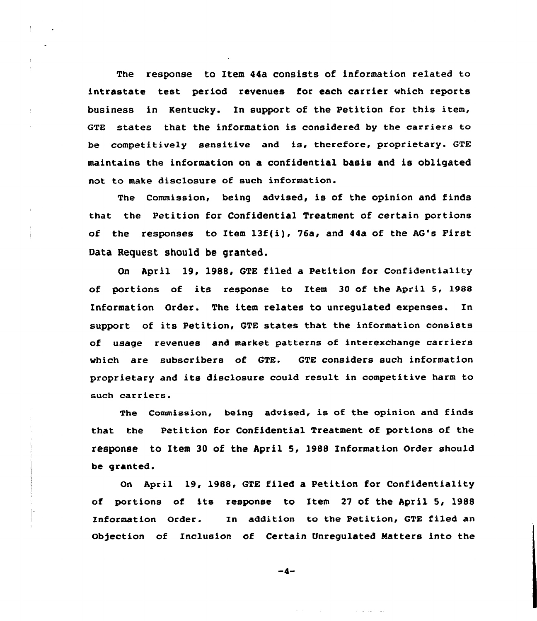The response to Item 44a consists of information related to intrastate test period revenues for each carrier which reports business in Kentucky. In support of the Petition for this item, GTE states that the information is considered by the carriers to be competitively sensitive and is, therefore, proprietary. GTE maintains the information on a confidential basis and is obligated not to make disclosure of such information.

The Commission, being advised, is of the opinion and finds that the Petition for Confidential Treatment of certain portions of the responses to Item 13f(i), 76a, and 44a of the AG's First Data Request should be granted.

On April 19, 1988, GTE filed a Petition for Confidentiality of portions of its response to Item <sup>30</sup> of the April 5, 1988 Information Order. The item relates to unregulated expenses. In support of its Petition, GTE states that the information consists of usage revenues and market patterns of interexchange carriers which are subscribers of GTE. GTE considers such information proprietary and its disclosure could result in competitive harm to such carriers.

The Commission, being advised, is of the opinion and finds that the Petition for Confidential Treatment of portions of the response to Item 30 of the April 5, l988 Information Order should be granted.

On April 19, 1988, GTE filed a Petition for Confidentiality of portions of its response to Item 27 of the April 5, 1988 Information Order. In addition to the Petition, GTE filed an Ob)ection of Inclusion of Certain Unregulated Matters into the

 $-4-$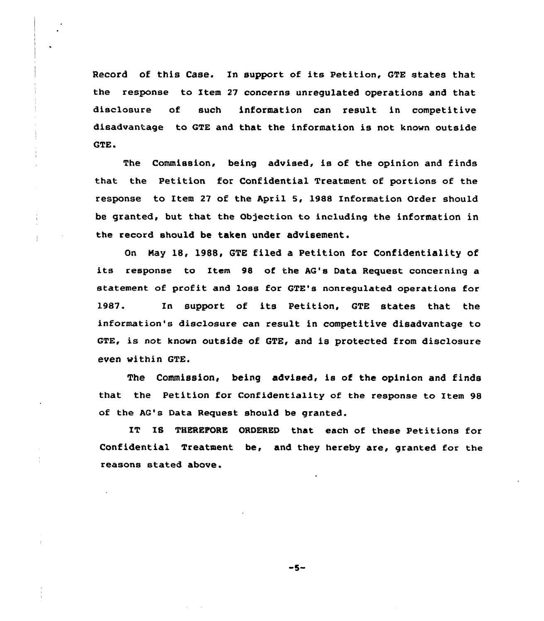Record of this Case. In support of its Petition, GTE states that the response to Item 27 concerns unregulated operations and that disclosure of such information can result in competitive disadvantage to GTE and that the information is not known outside GTE.

The Commission, being advised, is of the opinion and finds that the Petition for Confidential Treatment of portions of the response to Item 27 of the April 5, 1988 Information Order should be granted, but that the Objection to including the information in the record should be taken under advisement.

On Nay 18, 1988, GTE filed a Petition for Confidentiality of its response to Item 98 of the AG's Data Request concerning a statement of profit and loss for GTE's nonregulated operations for 1987. In support of its Petition, GTE states that the information's disclosure can result in competitive disadvantage to GTE, is not known outside of GTE, and is protected from disclosure even within GTE.

The Commission, being advised, is of the opinion and finds that the Petition for Gonfidentiality of the response to Item 98 of the AG's Data Request should be granted.

IT IS THEREPORE ORDERED that each of these Petitions for Confidential Treatment be, and they hereby are, granted for the reasons stated above.

-5-